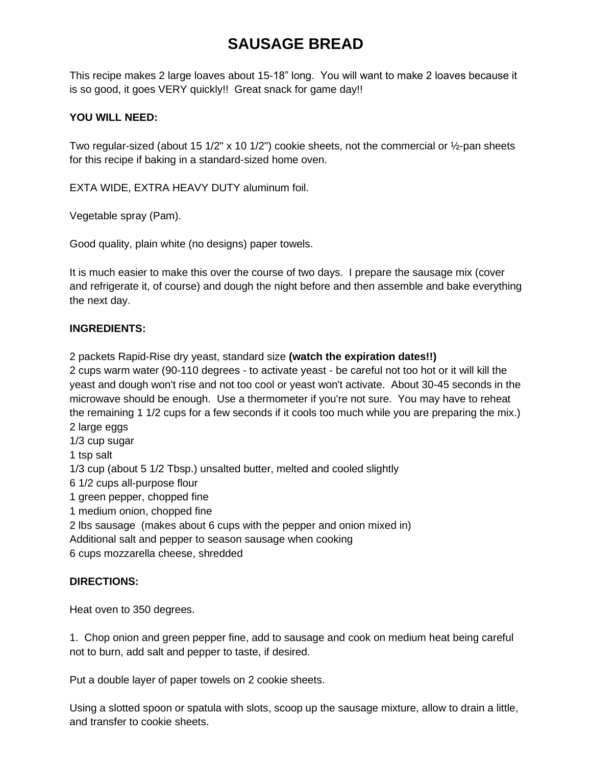# **SAUSAGE BREAD**

This recipe makes 2 large loaves about 15-18" long. You will want to make 2 loaves because it is so good, it goes VERY quickly!! Great snack for game day!!

## **YOU WILL NEED:**

Two regular-sized (about 15 1/2" x 10 1/2") cookie sheets, not the commercial or 1/2-pan sheets for this recipe if baking in a standard-sized home oven.

EXTA WIDE, EXTRA HEAVY DUTY aluminum foil.

Vegetable spray (Pam).

Good quality, plain white (no designs) paper towels.

It is much easier to make this over the course of two days. I prepare the sausage mix (cover and refrigerate it, of course) and dough the night before and then assemble and bake everything the next day.

### **INGREDIENTS:**

2 packets Rapid-Rise dry yeast, standard size **(watch the expiration dates!!)**

2 cups warm water (90-110 degrees - to activate yeast - be careful not too hot or it will kill the yeast and dough won't rise and not too cool or yeast won't activate. About 30-45 seconds in the microwave should be enough. Use a thermometer if you're not sure. You may have to reheat the remaining 1 1/2 cups for a few seconds if it cools too much while you are preparing the mix.) 2 large eggs

1/3 cup sugar

1 tsp salt

1/3 cup (about 5 1/2 Tbsp.) unsalted butter, melted and cooled slightly

6 1/2 cups all-purpose flour

1 green pepper, chopped fine

1 medium onion, chopped fine

2 lbs sausage (makes about 6 cups with the pepper and onion mixed in)

Additional salt and pepper to season sausage when cooking

6 cups mozzarella cheese, shredded

## **DIRECTIONS:**

Heat oven to 350 degrees.

1. Chop onion and green pepper fine, add to sausage and cook on medium heat being careful not to burn, add salt and pepper to taste, if desired.

Put a double layer of paper towels on 2 cookie sheets.

Using a slotted spoon or spatula with slots, scoop up the sausage mixture, allow to drain a little, and transfer to cookie sheets.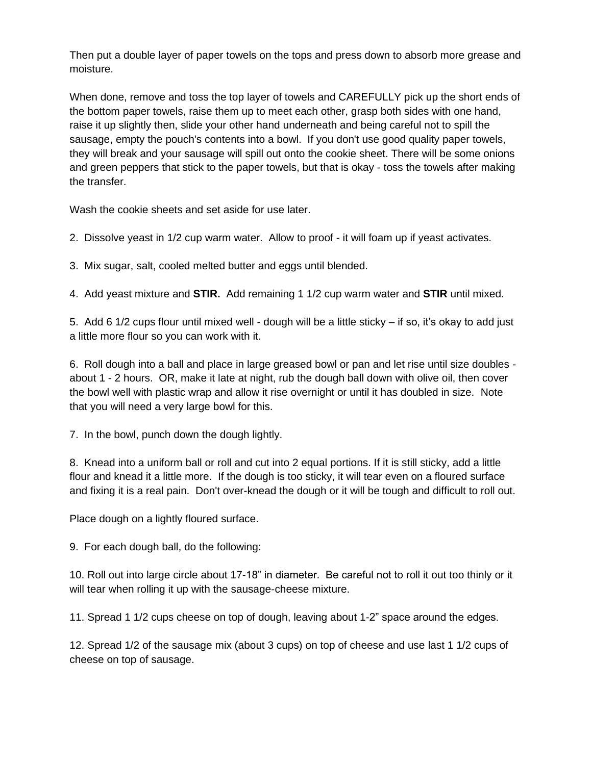Then put a double layer of paper towels on the tops and press down to absorb more grease and moisture.

When done, remove and toss the top layer of towels and CAREFULLY pick up the short ends of the bottom paper towels, raise them up to meet each other, grasp both sides with one hand, raise it up slightly then, slide your other hand underneath and being careful not to spill the sausage, empty the pouch's contents into a bowl. If you don't use good quality paper towels, they will break and your sausage will spill out onto the cookie sheet. There will be some onions and green peppers that stick to the paper towels, but that is okay - toss the towels after making the transfer.

Wash the cookie sheets and set aside for use later.

2. Dissolve yeast in 1/2 cup warm water. Allow to proof - it will foam up if yeast activates.

3. Mix sugar, salt, cooled melted butter and eggs until blended.

4. Add yeast mixture and **STIR.** Add remaining 1 1/2 cup warm water and **STIR** until mixed.

5. Add 6 1/2 cups flour until mixed well - dough will be a little sticky – if so, it's okay to add just a little more flour so you can work with it.

6. Roll dough into a ball and place in large greased bowl or pan and let rise until size doubles about 1 - 2 hours. OR, make it late at night, rub the dough ball down with olive oil, then cover the bowl well with plastic wrap and allow it rise overnight or until it has doubled in size. Note that you will need a very large bowl for this.

7. In the bowl, punch down the dough lightly.

8. Knead into a uniform ball or roll and cut into 2 equal portions. If it is still sticky, add a little flour and knead it a little more. If the dough is too sticky, it will tear even on a floured surface and fixing it is a real pain. Don't over-knead the dough or it will be tough and difficult to roll out.

Place dough on a lightly floured surface.

9. For each dough ball, do the following:

10. Roll out into large circle about 17-18" in diameter. Be careful not to roll it out too thinly or it will tear when rolling it up with the sausage-cheese mixture.

11. Spread 1 1/2 cups cheese on top of dough, leaving about 1-2" space around the edges.

12. Spread 1/2 of the sausage mix (about 3 cups) on top of cheese and use last 1 1/2 cups of cheese on top of sausage.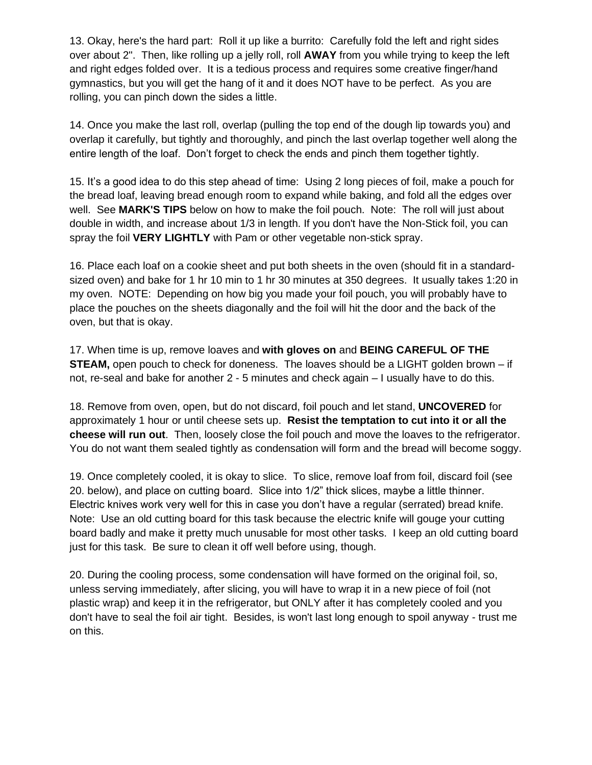13. Okay, here's the hard part: Roll it up like a burrito: Carefully fold the left and right sides over about 2". Then, like rolling up a jelly roll, roll **AWAY** from you while trying to keep the left and right edges folded over. It is a tedious process and requires some creative finger/hand gymnastics, but you will get the hang of it and it does NOT have to be perfect. As you are rolling, you can pinch down the sides a little.

14. Once you make the last roll, overlap (pulling the top end of the dough lip towards you) and overlap it carefully, but tightly and thoroughly, and pinch the last overlap together well along the entire length of the loaf. Don't forget to check the ends and pinch them together tightly.

15. It's a good idea to do this step ahead of time: Using 2 long pieces of foil, make a pouch for the bread loaf, leaving bread enough room to expand while baking, and fold all the edges over well. See **MARK'S TIPS** below on how to make the foil pouch. Note: The roll will just about double in width, and increase about 1/3 in length. If you don't have the Non-Stick foil, you can spray the foil **VERY LIGHTLY** with Pam or other vegetable non-stick spray.

16. Place each loaf on a cookie sheet and put both sheets in the oven (should fit in a standardsized oven) and bake for 1 hr 10 min to 1 hr 30 minutes at 350 degrees. It usually takes 1:20 in my oven. NOTE: Depending on how big you made your foil pouch, you will probably have to place the pouches on the sheets diagonally and the foil will hit the door and the back of the oven, but that is okay.

17. When time is up, remove loaves and **with gloves on** and **BEING CAREFUL OF THE STEAM,** open pouch to check for doneness. The loaves should be a LIGHT golden brown – if not, re-seal and bake for another 2 - 5 minutes and check again – I usually have to do this.

18. Remove from oven, open, but do not discard, foil pouch and let stand, **UNCOVERED** for approximately 1 hour or until cheese sets up. **Resist the temptation to cut into it or all the cheese will run out**. Then, loosely close the foil pouch and move the loaves to the refrigerator. You do not want them sealed tightly as condensation will form and the bread will become soggy.

19. Once completely cooled, it is okay to slice. To slice, remove loaf from foil, discard foil (see 20. below), and place on cutting board. Slice into 1/2" thick slices, maybe a little thinner. Electric knives work very well for this in case you don't have a regular (serrated) bread knife. Note: Use an old cutting board for this task because the electric knife will gouge your cutting board badly and make it pretty much unusable for most other tasks. I keep an old cutting board just for this task. Be sure to clean it off well before using, though.

20. During the cooling process, some condensation will have formed on the original foil, so, unless serving immediately, after slicing, you will have to wrap it in a new piece of foil (not plastic wrap) and keep it in the refrigerator, but ONLY after it has completely cooled and you don't have to seal the foil air tight. Besides, is won't last long enough to spoil anyway - trust me on this.